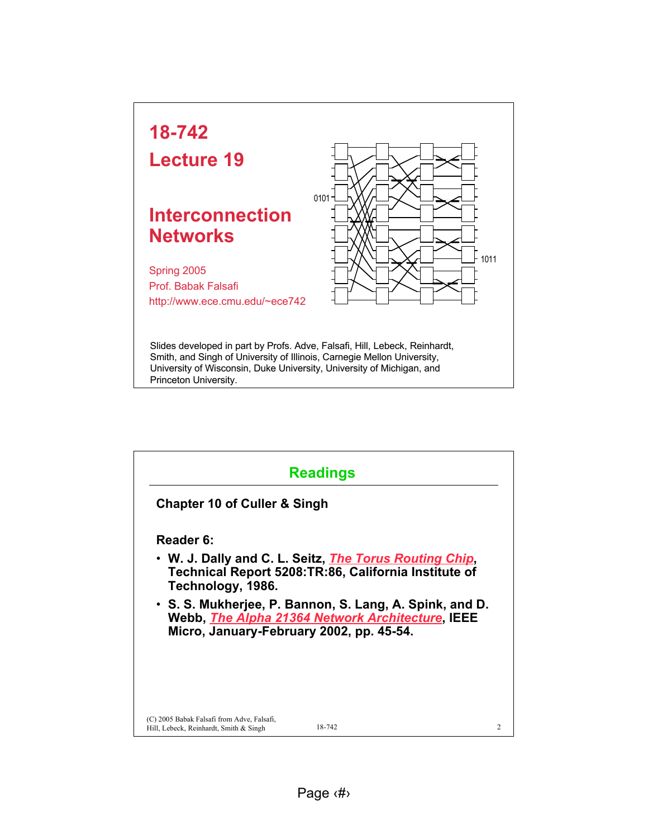

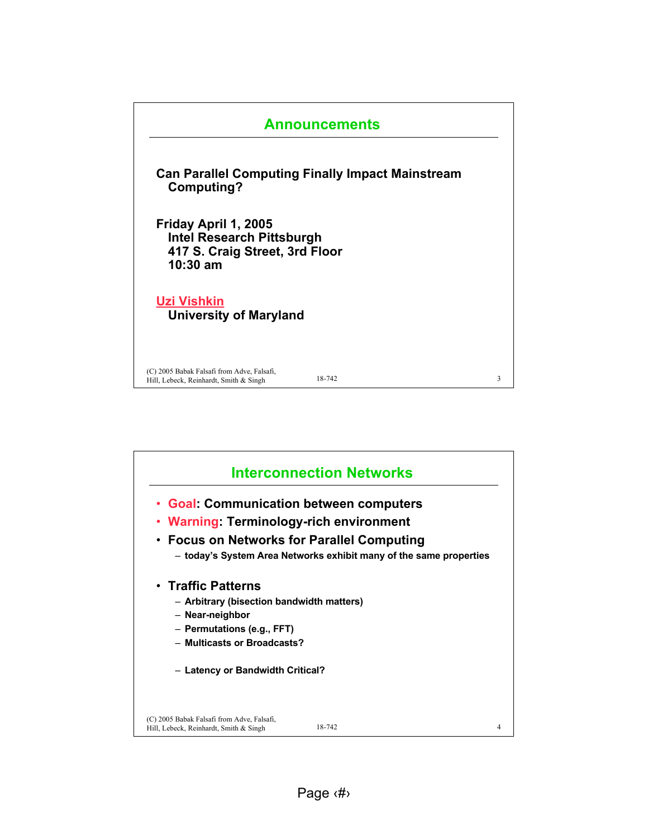

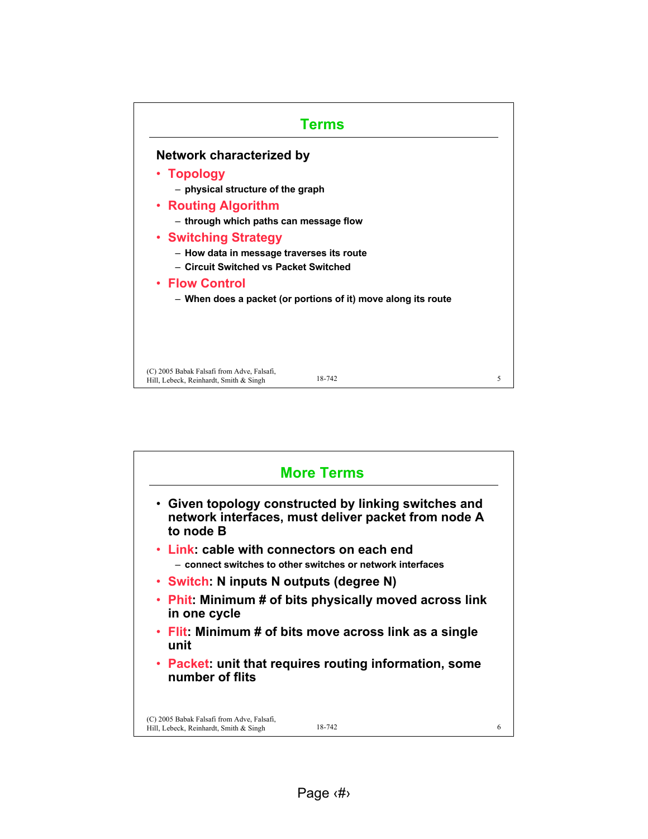

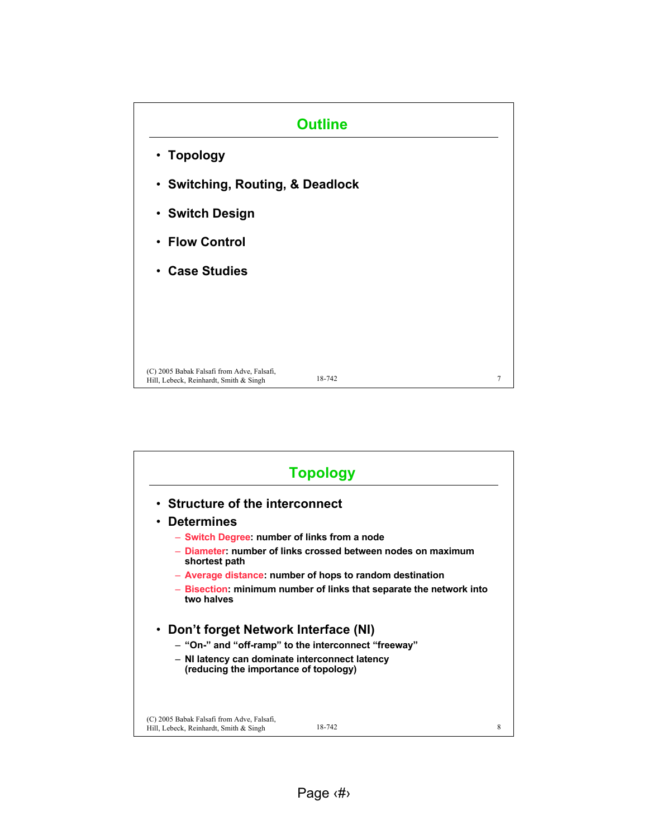

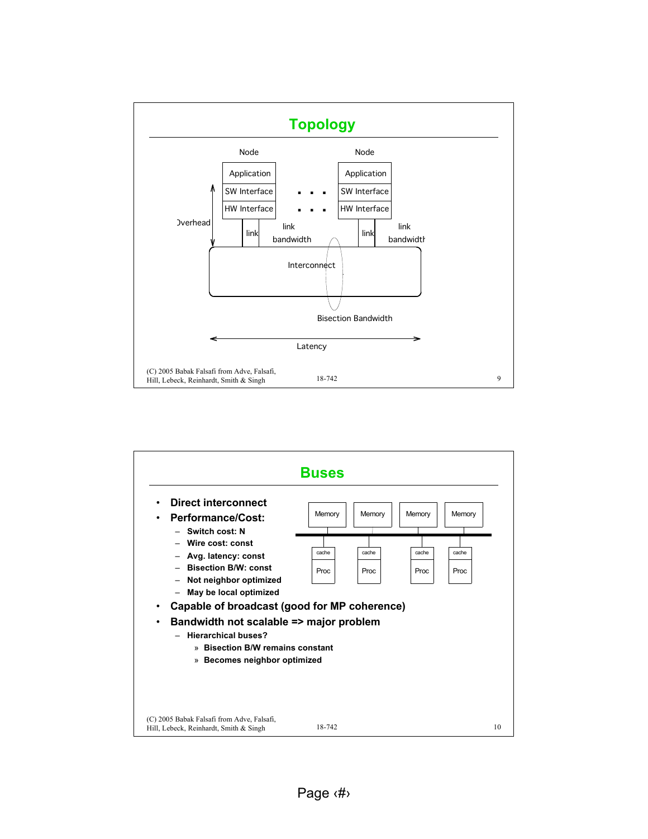

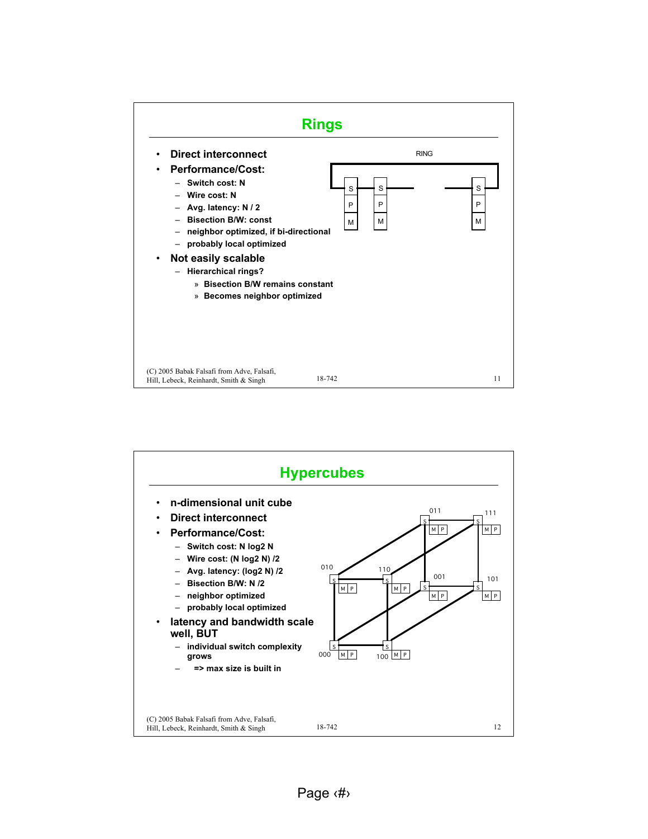

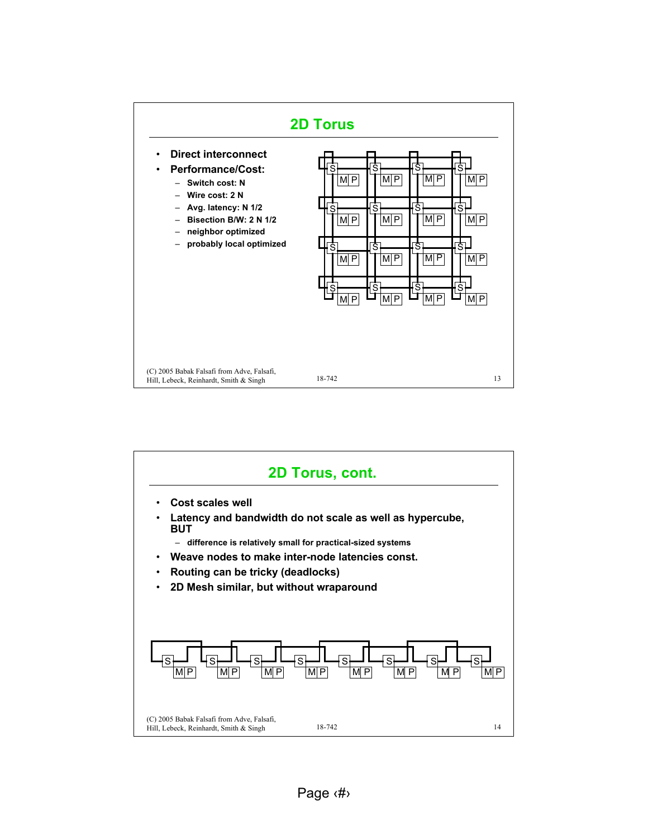

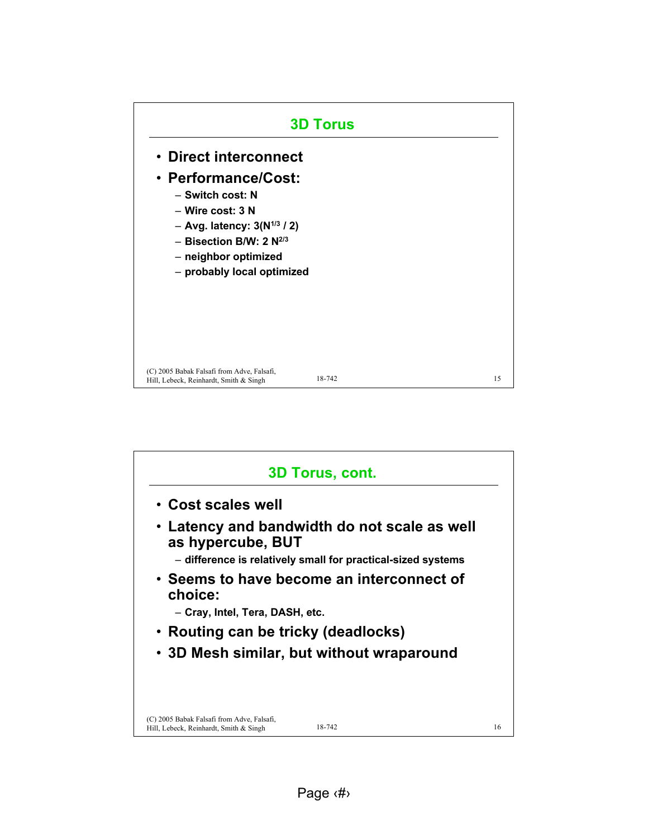

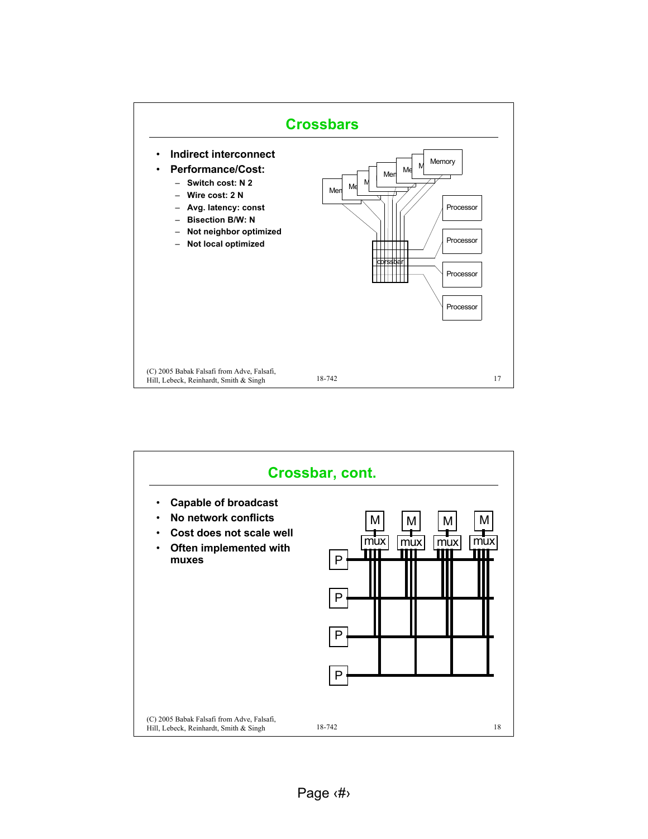

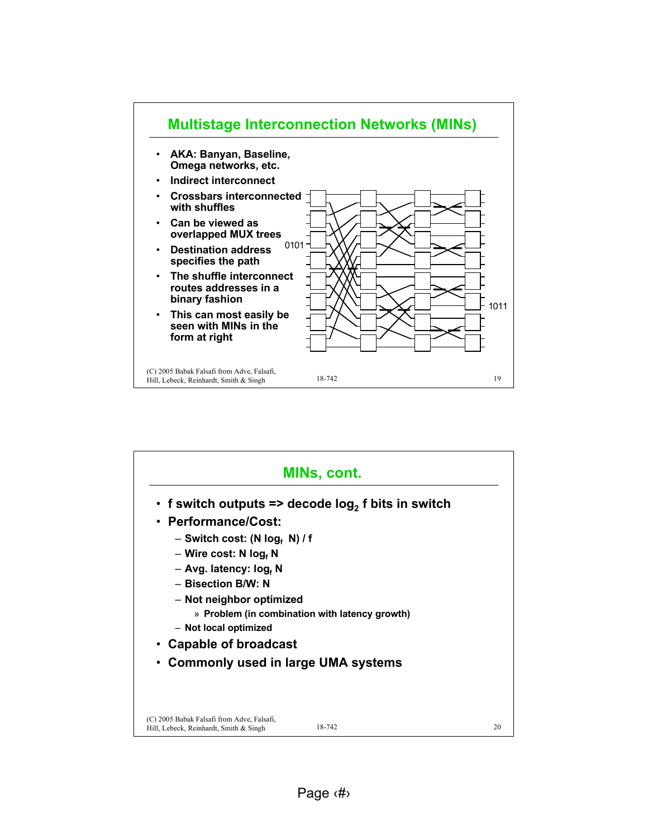

|                                                                                      | MINs, cont.                                           |    |
|--------------------------------------------------------------------------------------|-------------------------------------------------------|----|
|                                                                                      | • f switch outputs => decode $log_2$ f bits in switch |    |
| • Performance/Cost:                                                                  |                                                       |    |
| $-$ Switch cost: (N log, N) / f                                                      |                                                       |    |
| - Wire cost: N $logf$ N                                                              |                                                       |    |
| - Avg. latency: log, N                                                               |                                                       |    |
| - Bisection B/W: N                                                                   |                                                       |    |
| - Not neighbor optimized                                                             |                                                       |    |
|                                                                                      | » Problem (in combination with latency growth)        |    |
| - Not local optimized                                                                |                                                       |    |
| • Capable of broadcast                                                               |                                                       |    |
| Commonly used in large UMA systems                                                   |                                                       |    |
|                                                                                      |                                                       |    |
| (C) 2005 Babak Falsafi from Adve, Falsafi,<br>Hill, Lebeck, Reinhardt, Smith & Singh | 18-742                                                | 20 |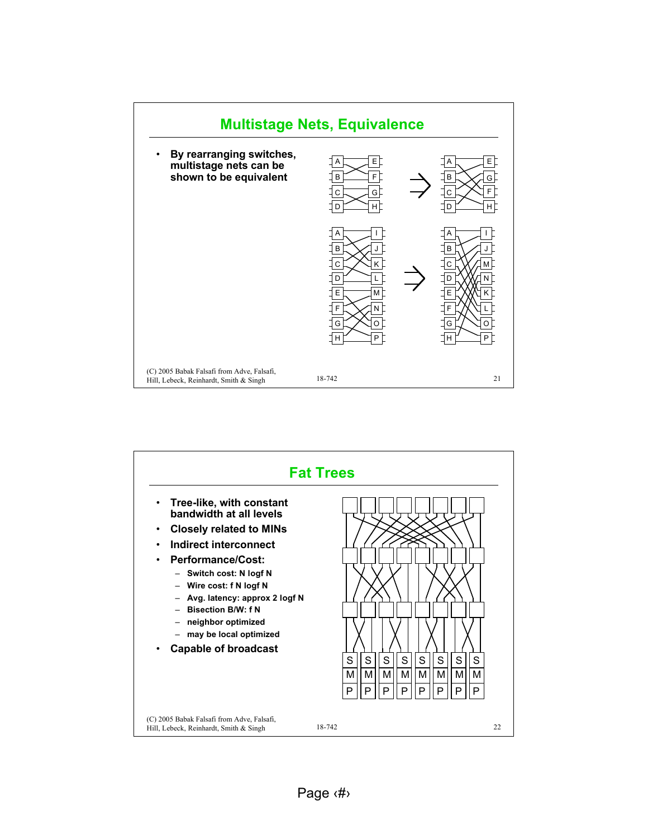

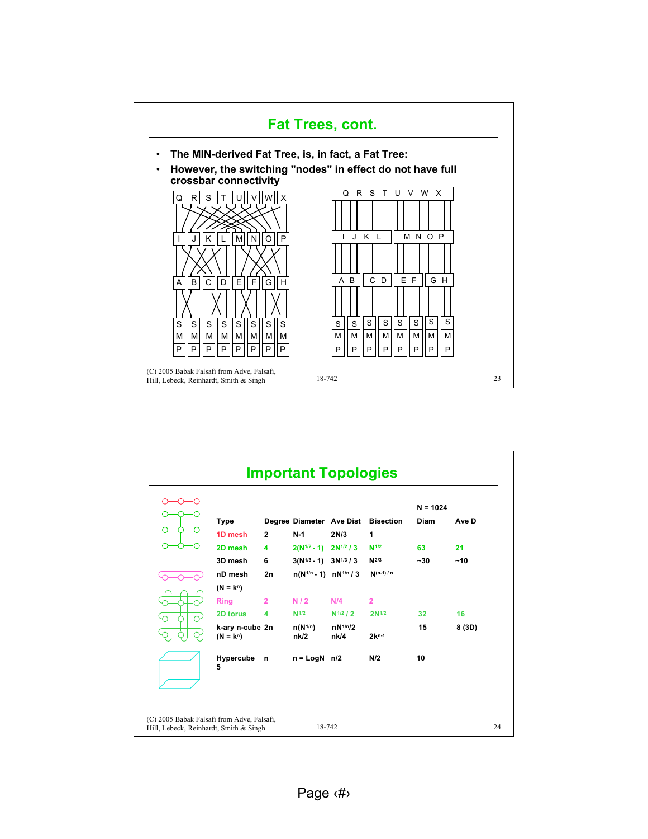

|                                |                |                                 |                      |                                    | $N = 1024$  |        |
|--------------------------------|----------------|---------------------------------|----------------------|------------------------------------|-------------|--------|
| <b>Type</b>                    |                |                                 |                      | Degree Diameter Ave Dist Bisection | <b>Diam</b> | Ave D  |
| 1D mesh                        | $\mathbf{2}$   | $N-1$                           | 2N/3                 | 1                                  |             |        |
| 2D mesh                        | 4              | $2(N^{1/2}-1)$ $2N^{1/2}/3$     |                      | $N^{1/2}$                          | 63          | 21     |
| 3D mesh                        | 6              | $3(N^{1/3} - 1)$ $3N^{1/3} / 3$ |                      | $N^{2/3}$                          | $-30$       | ~10    |
| nD mesh                        | 2n             | $n(N^{1/n} - 1)$ $nN^{1/n}/3$   |                      | $N(n-1)/n$                         |             |        |
| $(N = k^n)$                    |                |                                 |                      |                                    |             |        |
| <b>Ring</b>                    | $\overline{2}$ | N/2                             | N/4                  | $\overline{2}$                     |             |        |
| 2D torus                       | 4              | N <sup>1/2</sup>                | $N^{1/2}$ / 2        | 2N <sup>1/2</sup>                  | 32          | 16     |
| k-ary n-cube 2n<br>$(N = k^n)$ |                | $n(N^{1/n})$<br>nk/2            | $nN^{1/n}/2$<br>nk/4 | $2k^{n-1}$                         | 15          | 8 (3D) |
| Hypercube<br>5                 | $\mathsf{n}$   | $n = LogN$ $n/2$                |                      | N/2                                | 10          |        |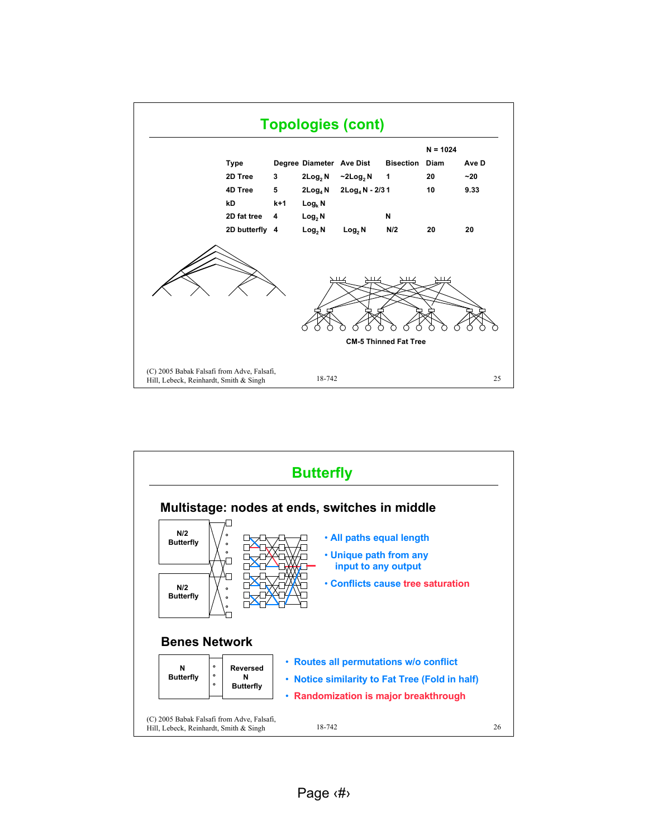

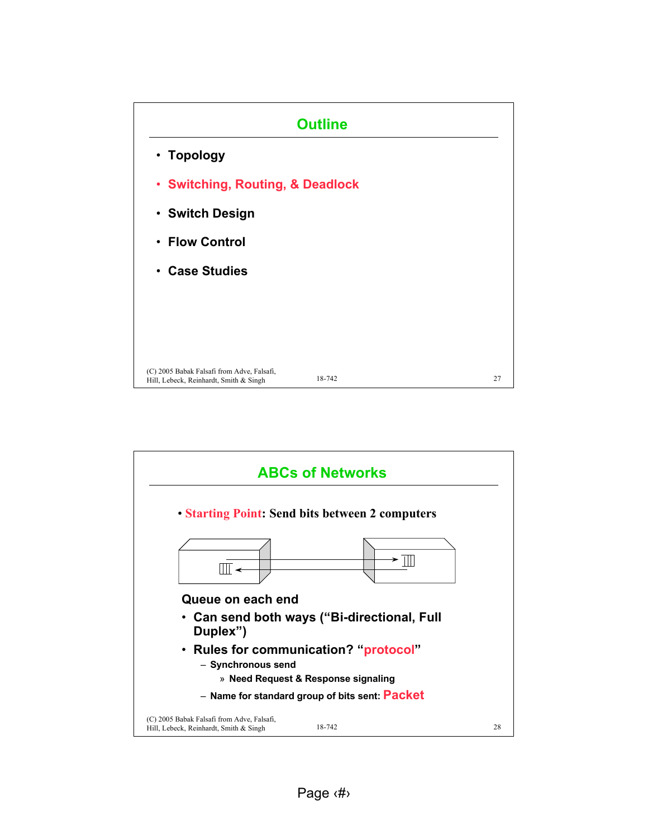

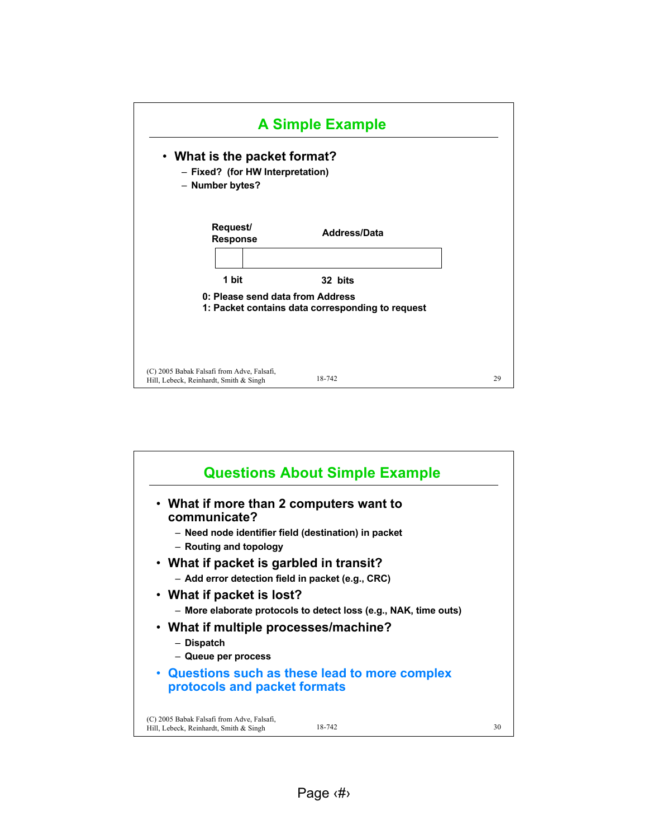

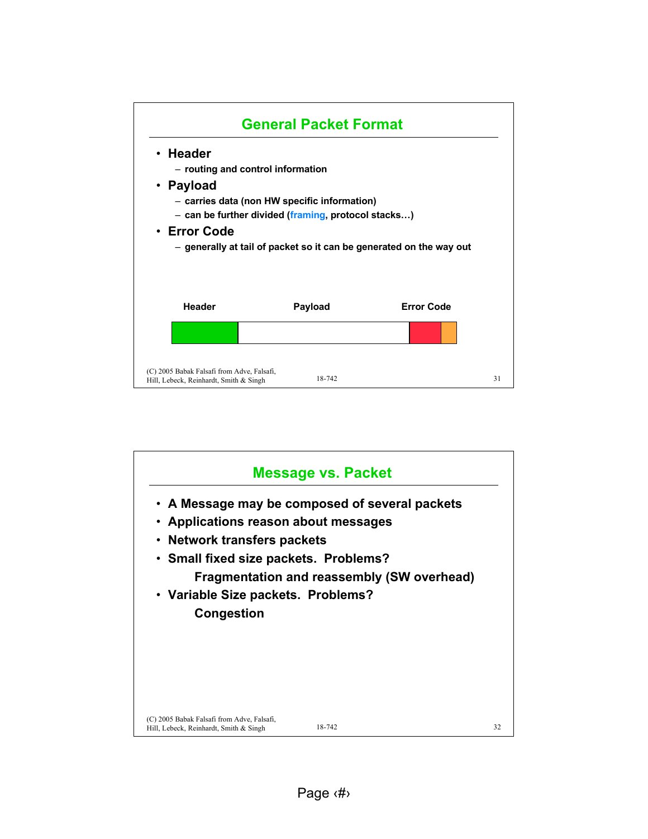